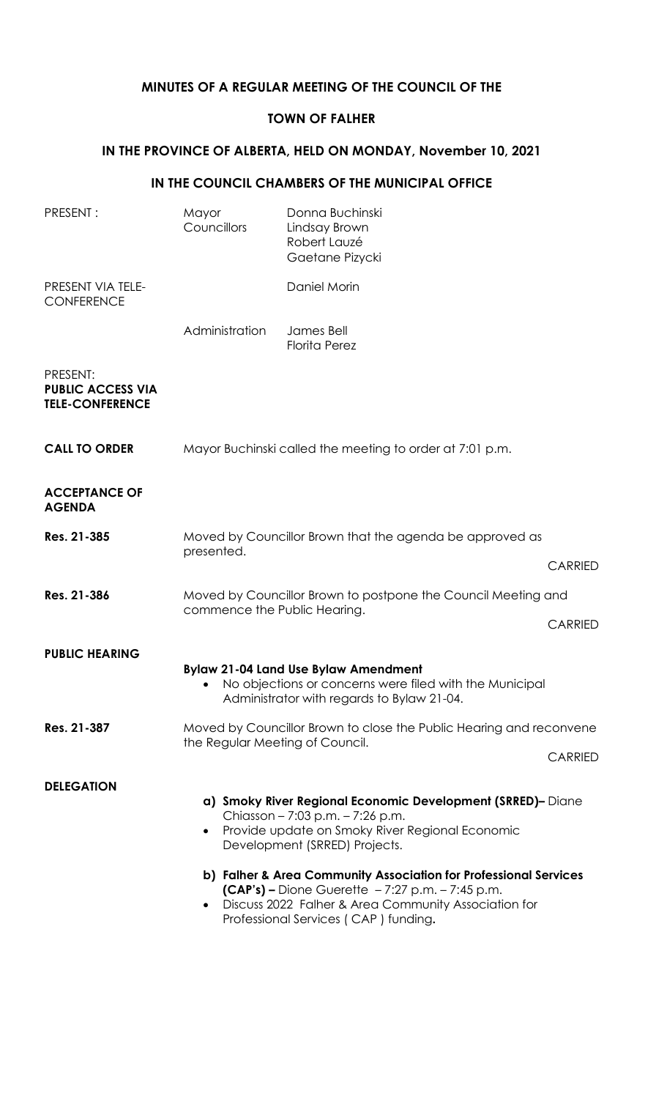## **MINUTES OF A REGULAR MEETING OF THE COUNCIL OF THE**

### **TOWN OF FALHER**

# **IN THE PROVINCE OF ALBERTA, HELD ON MONDAY, November 10, 2021**

#### **IN THE COUNCIL CHAMBERS OF THE MUNICIPAL OFFICE**

| PRESENT:                                                       | Mayor<br>Councillors                                                                          | Donna Buchinski<br>Lindsay Brown<br>Robert Lauzé<br>Gaetane Pizycki                                                                                                                                                                                                                                           |                |
|----------------------------------------------------------------|-----------------------------------------------------------------------------------------------|---------------------------------------------------------------------------------------------------------------------------------------------------------------------------------------------------------------------------------------------------------------------------------------------------------------|----------------|
| PRESENT VIA TELE-<br><b>CONFERENCE</b>                         |                                                                                               | Daniel Morin                                                                                                                                                                                                                                                                                                  |                |
|                                                                | Administration                                                                                | James Bell<br><b>Florita Perez</b>                                                                                                                                                                                                                                                                            |                |
| PRESENT:<br><b>PUBLIC ACCESS VIA</b><br><b>TELE-CONFERENCE</b> |                                                                                               |                                                                                                                                                                                                                                                                                                               |                |
| <b>CALL TO ORDER</b>                                           | Mayor Buchinski called the meeting to order at 7:01 p.m.                                      |                                                                                                                                                                                                                                                                                                               |                |
| <b>ACCEPTANCE OF</b><br><b>AGENDA</b>                          |                                                                                               |                                                                                                                                                                                                                                                                                                               |                |
| Res. 21-385                                                    | Moved by Councillor Brown that the agenda be approved as<br>presented.<br><b>CARRIED</b>      |                                                                                                                                                                                                                                                                                                               |                |
|                                                                |                                                                                               |                                                                                                                                                                                                                                                                                                               |                |
| Res. 21-386                                                    | Moved by Councillor Brown to postpone the Council Meeting and<br>commence the Public Hearing. |                                                                                                                                                                                                                                                                                                               |                |
|                                                                |                                                                                               |                                                                                                                                                                                                                                                                                                               | <b>CARRIED</b> |
| <b>PUBLIC HEARING</b>                                          |                                                                                               |                                                                                                                                                                                                                                                                                                               |                |
|                                                                |                                                                                               | <b>Bylaw 21-04 Land Use Bylaw Amendment</b><br>No objections or concerns were filed with the Municipal<br>Administrator with regards to Bylaw 21-04.                                                                                                                                                          |                |
| Res. 21-387                                                    | Moved by Councillor Brown to close the Public Hearing and reconvene                           |                                                                                                                                                                                                                                                                                                               |                |
|                                                                |                                                                                               | the Regular Meeting of Council.                                                                                                                                                                                                                                                                               |                |
| <b>DELEGATION</b>                                              | $\bullet$                                                                                     | a) Smoky River Regional Economic Development (SRRED)- Diane<br>Chiasson - 7:03 p.m. - 7:26 p.m.<br>Provide update on Smoky River Regional Economic<br>Development (SRRED) Projects.<br>b) Falher & Area Community Association for Professional Services<br>$(CAP's)$ – Dione Guerette – 7:27 p.m. – 7:45 p.m. |                |
|                                                                | $\bullet$                                                                                     | Discuss 2022 Falher & Area Community Association for<br>Professional Services (CAP) funding.                                                                                                                                                                                                                  |                |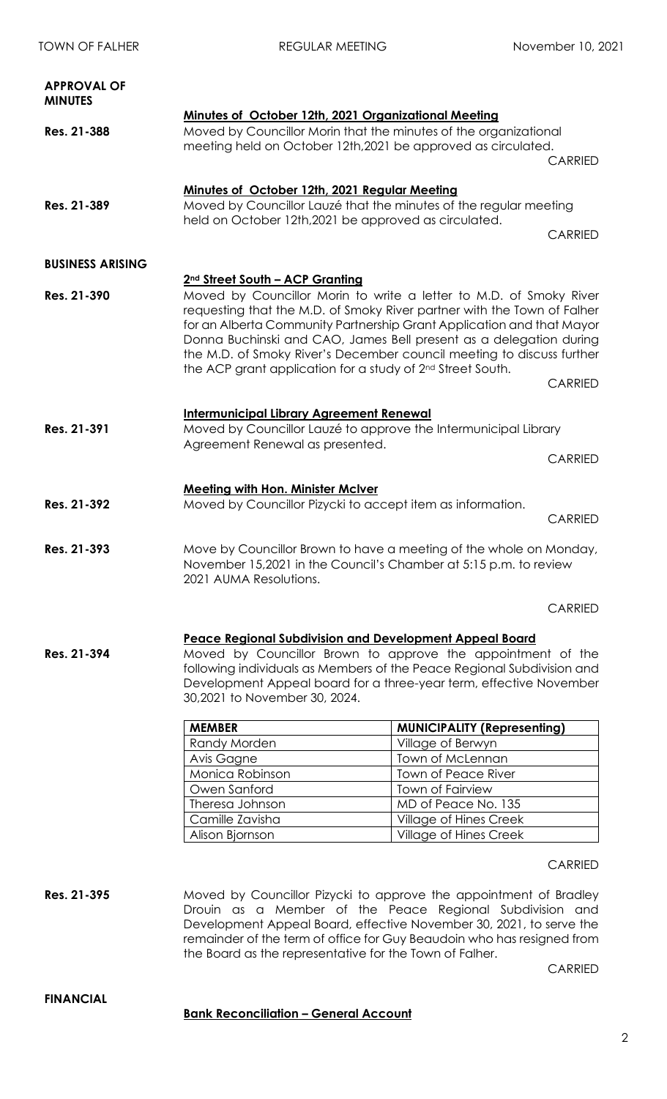| <b>APPROVAL OF</b><br><b>MINUTES</b> |                                                                   |                                                                                                                                                                                                                                                                                                                                                                                                                                                 |                |
|--------------------------------------|-------------------------------------------------------------------|-------------------------------------------------------------------------------------------------------------------------------------------------------------------------------------------------------------------------------------------------------------------------------------------------------------------------------------------------------------------------------------------------------------------------------------------------|----------------|
| Res. 21-388                          |                                                                   | Minutes of October 12th, 2021 Organizational Meeting<br>Moved by Councillor Morin that the minutes of the organizational<br>meeting held on October 12th, 2021 be approved as circulated.                                                                                                                                                                                                                                                       | <b>CARRIED</b> |
|                                      | Minutes of October 12th, 2021 Regular Meeting                     |                                                                                                                                                                                                                                                                                                                                                                                                                                                 |                |
| Res. 21-389                          | Moved by Councillor Lauzé that the minutes of the regular meeting |                                                                                                                                                                                                                                                                                                                                                                                                                                                 |                |
|                                      | held on October 12th, 2021 be approved as circulated.             |                                                                                                                                                                                                                                                                                                                                                                                                                                                 | <b>CARRIED</b> |
| <b>BUSINESS ARISING</b>              |                                                                   |                                                                                                                                                                                                                                                                                                                                                                                                                                                 |                |
|                                      | 2 <sup>nd</sup> Street South - ACP Granting                       |                                                                                                                                                                                                                                                                                                                                                                                                                                                 |                |
| Res. 21-390                          |                                                                   | Moved by Councillor Morin to write a letter to M.D. of Smoky River<br>requesting that the M.D. of Smoky River partner with the Town of Falher<br>for an Alberta Community Partnership Grant Application and that Mayor<br>Donna Buchinski and CAO, James Bell present as a delegation during<br>the M.D. of Smoky River's December council meeting to discuss further<br>the ACP grant application for a study of 2 <sup>nd</sup> Street South. |                |
|                                      |                                                                   |                                                                                                                                                                                                                                                                                                                                                                                                                                                 | <b>CARRIED</b> |
|                                      | <b>Intermunicipal Library Agreement Renewal</b>                   |                                                                                                                                                                                                                                                                                                                                                                                                                                                 |                |
| Res. 21-391                          |                                                                   | Moved by Councillor Lauzé to approve the Intermunicipal Library                                                                                                                                                                                                                                                                                                                                                                                 |                |
|                                      | Agreement Renewal as presented.<br><b>CARRIED</b>                 |                                                                                                                                                                                                                                                                                                                                                                                                                                                 |                |
|                                      |                                                                   |                                                                                                                                                                                                                                                                                                                                                                                                                                                 |                |
|                                      | <b>Meeting with Hon. Minister McIver</b>                          |                                                                                                                                                                                                                                                                                                                                                                                                                                                 |                |
| Res. 21-392                          |                                                                   | Moved by Councillor Pizycki to accept item as information.                                                                                                                                                                                                                                                                                                                                                                                      | <b>CARRIED</b> |
| Res. 21-393                          | 2021 AUMA Resolutions.                                            | Move by Councillor Brown to have a meeting of the whole on Monday,<br>November 15,2021 in the Council's Chamber at 5:15 p.m. to review                                                                                                                                                                                                                                                                                                          |                |
|                                      |                                                                   |                                                                                                                                                                                                                                                                                                                                                                                                                                                 | <b>CARRIED</b> |
|                                      |                                                                   | <b>Peace Regional Subdivision and Development Appeal Board</b>                                                                                                                                                                                                                                                                                                                                                                                  |                |
| Res. 21-394                          | 30,2021 to November 30, 2024.                                     | Moved by Councillor Brown to approve the appointment of the<br>following individuals as Members of the Peace Regional Subdivision and<br>Development Appeal board for a three-year term, effective November                                                                                                                                                                                                                                     |                |
|                                      | <b>MEMBER</b>                                                     | <b>MUNICIPALITY (Representing)</b>                                                                                                                                                                                                                                                                                                                                                                                                              |                |
|                                      | Randy Morden                                                      | Village of Berwyn                                                                                                                                                                                                                                                                                                                                                                                                                               |                |
|                                      | Avis Gagne                                                        | Town of McLennan                                                                                                                                                                                                                                                                                                                                                                                                                                |                |
|                                      | Monica Robinson                                                   | Town of Peace River                                                                                                                                                                                                                                                                                                                                                                                                                             |                |
|                                      | Owen Sanford                                                      | Town of Fairview                                                                                                                                                                                                                                                                                                                                                                                                                                |                |
|                                      | Theresa Johnson                                                   | MD of Peace No. 135                                                                                                                                                                                                                                                                                                                                                                                                                             |                |
|                                      | Camille Zavisha                                                   | <b>Village of Hines Creek</b>                                                                                                                                                                                                                                                                                                                                                                                                                   |                |
|                                      | Alison Bjornson                                                   | Village of Hines Creek                                                                                                                                                                                                                                                                                                                                                                                                                          |                |
|                                      |                                                                   |                                                                                                                                                                                                                                                                                                                                                                                                                                                 | <b>CARRIED</b> |

**Res. 21-395** Moved by Councillor Pizycki to approve the appointment of Bradley Drouin as a Member of the Peace Regional Subdivision and Development Appeal Board, effective November 30, 2021, to serve the remainder of the term of office for Guy Beaudoin who has resigned from the Board as the representative for the Town of Falher.

CARRIED

**FINANCIAL**

### **Bank Reconciliation – General Account**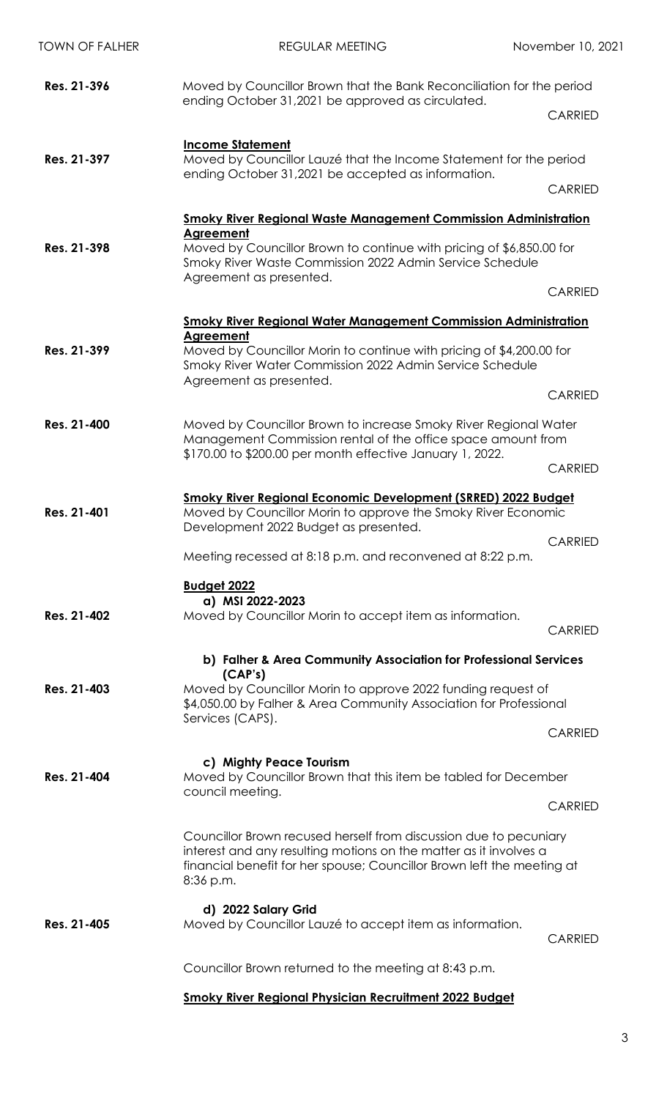| <b>TOWN OF FALHER</b> | <b>REGULAR MEETING</b>                                                                                                                                                                                                        | November 10, 2021 |
|-----------------------|-------------------------------------------------------------------------------------------------------------------------------------------------------------------------------------------------------------------------------|-------------------|
| Res. 21-396           | Moved by Councillor Brown that the Bank Reconciliation for the period<br>ending October 31,2021 be approved as circulated.                                                                                                    |                   |
|                       | <b>Income Statement</b>                                                                                                                                                                                                       | <b>CARRIED</b>    |
| Res. 21-397           | Moved by Councillor Lauzé that the Income Statement for the period<br>ending October 31,2021 be accepted as information.                                                                                                      |                   |
|                       |                                                                                                                                                                                                                               | <b>CARRIED</b>    |
|                       | <b>Smoky River Regional Waste Management Commission Administration</b>                                                                                                                                                        |                   |
| Res. 21-398           | Agreement<br>Moved by Councillor Brown to continue with pricing of \$6,850.00 for<br>Smoky River Waste Commission 2022 Admin Service Schedule<br>Agreement as presented.                                                      |                   |
|                       |                                                                                                                                                                                                                               | <b>CARRIED</b>    |
|                       | <b>Smoky River Regional Water Management Commission Administration</b>                                                                                                                                                        |                   |
| Res. 21-399           | Agreement<br>Moved by Councillor Morin to continue with pricing of \$4,200.00 for<br>Smoky River Water Commission 2022 Admin Service Schedule                                                                                 |                   |
|                       | Agreement as presented.                                                                                                                                                                                                       | <b>CARRIED</b>    |
| Res. 21-400           | Moved by Councillor Brown to increase Smoky River Regional Water<br>Management Commission rental of the office space amount from                                                                                              |                   |
|                       | \$170.00 to \$200.00 per month effective January 1, 2022.                                                                                                                                                                     | <b>CARRIED</b>    |
| Res. 21-401           | Smoky River Regional Economic Development (SRRED) 2022 Budget<br>Moved by Councillor Morin to approve the Smoky River Economic<br>Development 2022 Budget as presented.                                                       |                   |
|                       | Meeting recessed at 8:18 p.m. and reconvened at 8:22 p.m.                                                                                                                                                                     | <b>CARRIED</b>    |
|                       | <b>Budget 2022</b>                                                                                                                                                                                                            |                   |
| Res. 21-402           | a) MSI 2022-2023<br>Moved by Councillor Morin to accept item as information.                                                                                                                                                  |                   |
|                       |                                                                                                                                                                                                                               | <b>CARRIED</b>    |
|                       | b) Falher & Area Community Association for Professional Services<br>(CAP's)                                                                                                                                                   |                   |
| Res. 21-403           | Moved by Councillor Morin to approve 2022 funding request of<br>\$4,050.00 by Falher & Area Community Association for Professional                                                                                            |                   |
|                       | Services (CAPS).                                                                                                                                                                                                              | <b>CARRIED</b>    |
| Res. 21-404           | c) Mighty Peace Tourism<br>Moved by Councillor Brown that this item be tabled for December                                                                                                                                    |                   |
|                       | council meeting.                                                                                                                                                                                                              | <b>CARRIED</b>    |
|                       | Councillor Brown recused herself from discussion due to pecuniary<br>interest and any resulting motions on the matter as it involves a<br>financial benefit for her spouse; Councillor Brown left the meeting at<br>8:36 p.m. |                   |
| Res. 21-405           | d) 2022 Salary Grid<br>Moved by Councillor Lauzé to accept item as information.                                                                                                                                               | <b>CARRIED</b>    |
|                       | Councillor Brown returned to the meeting at 8:43 p.m.                                                                                                                                                                         |                   |
|                       | <b>Smoky River Regional Physician Recruitment 2022 Budget</b>                                                                                                                                                                 |                   |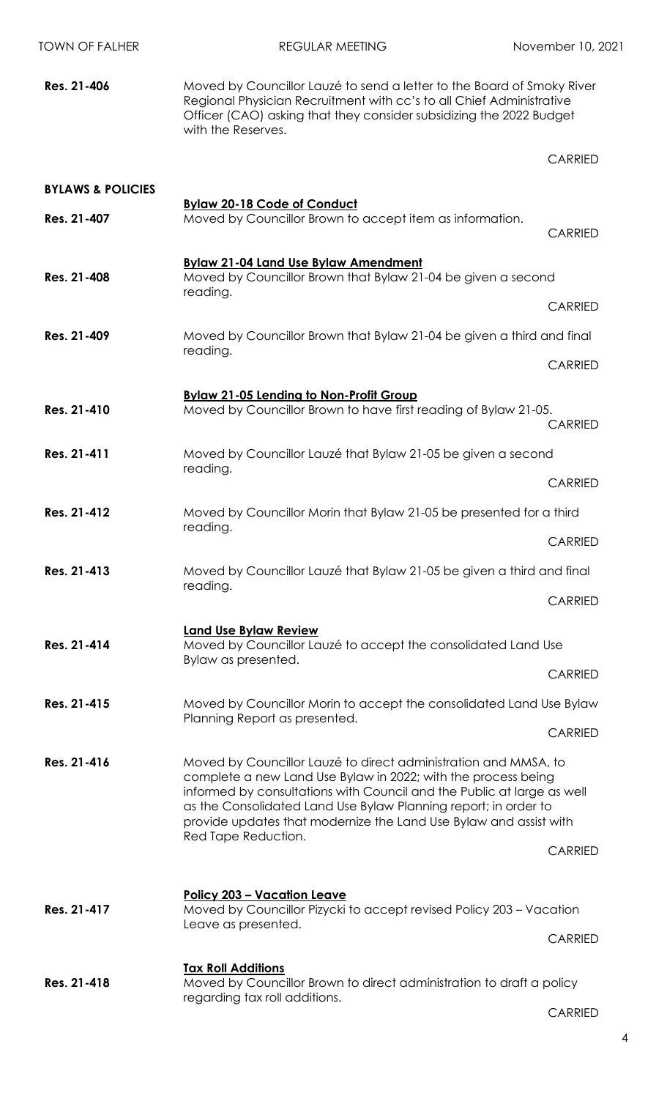| <b>TOWN OF FALHER</b>        | <b>REGULAR MEETING</b>                                                                                                                                                                                                                                                                                                                             | November 10, 2021 |
|------------------------------|----------------------------------------------------------------------------------------------------------------------------------------------------------------------------------------------------------------------------------------------------------------------------------------------------------------------------------------------------|-------------------|
| Res. 21-406                  | Moved by Councillor Lauzé to send a letter to the Board of Smoky River<br>Regional Physician Recruitment with cc's to all Chief Administrative<br>Officer (CAO) asking that they consider subsidizing the 2022 Budget<br>with the Reserves.                                                                                                        |                   |
|                              |                                                                                                                                                                                                                                                                                                                                                    | <b>CARRIED</b>    |
| <b>BYLAWS &amp; POLICIES</b> |                                                                                                                                                                                                                                                                                                                                                    |                   |
| Res. 21-407                  | <b>Bylaw 20-18 Code of Conduct</b><br>Moved by Councillor Brown to accept item as information.                                                                                                                                                                                                                                                     | <b>CARRIED</b>    |
| Res. 21-408                  | Bylaw 21-04 Land Use Bylaw Amendment<br>Moved by Councillor Brown that Bylaw 21-04 be given a second<br>reading.                                                                                                                                                                                                                                   |                   |
|                              |                                                                                                                                                                                                                                                                                                                                                    | <b>CARRIED</b>    |
| Res. 21-409                  | Moved by Councillor Brown that Bylaw 21-04 be given a third and final<br>reading.                                                                                                                                                                                                                                                                  |                   |
|                              |                                                                                                                                                                                                                                                                                                                                                    | <b>CARRIED</b>    |
| Res. 21-410                  | <b>Bylaw 21-05 Lending to Non-Profit Group</b><br>Moved by Councillor Brown to have first reading of Bylaw 21-05.                                                                                                                                                                                                                                  | <b>CARRIED</b>    |
| Res. 21-411                  | Moved by Councillor Lauzé that Bylaw 21-05 be given a second                                                                                                                                                                                                                                                                                       |                   |
|                              | reading.                                                                                                                                                                                                                                                                                                                                           | <b>CARRIED</b>    |
| Res. 21-412                  | Moved by Councillor Morin that Bylaw 21-05 be presented for a third                                                                                                                                                                                                                                                                                |                   |
|                              | reading.                                                                                                                                                                                                                                                                                                                                           | <b>CARRIED</b>    |
| Res. 21-413                  | Moved by Councillor Lauzé that Bylaw 21-05 be given a third and final                                                                                                                                                                                                                                                                              |                   |
|                              | reading.                                                                                                                                                                                                                                                                                                                                           | <b>CARRIED</b>    |
|                              | <b>Land Use Bylaw Review</b>                                                                                                                                                                                                                                                                                                                       |                   |
| Res. 21-414                  | Moved by Councillor Lauzé to accept the consolidated Land Use<br>Bylaw as presented.                                                                                                                                                                                                                                                               |                   |
|                              |                                                                                                                                                                                                                                                                                                                                                    | <b>CARRIED</b>    |
| Res. 21-415                  | Moved by Councillor Morin to accept the consolidated Land Use Bylaw                                                                                                                                                                                                                                                                                |                   |
|                              | Planning Report as presented.                                                                                                                                                                                                                                                                                                                      | <b>CARRIED</b>    |
| Res. 21-416                  | Moved by Councillor Lauzé to direct administration and MMSA, to<br>complete a new Land Use Bylaw in 2022; with the process being<br>informed by consultations with Council and the Public at large as well<br>as the Consolidated Land Use Bylaw Planning report; in order to<br>provide updates that modernize the Land Use Bylaw and assist with |                   |
|                              | Red Tape Reduction.                                                                                                                                                                                                                                                                                                                                | <b>CARRIED</b>    |
|                              | <b>Policy 203 - Vacation Leave</b>                                                                                                                                                                                                                                                                                                                 |                   |
| Res. 21-417                  | Moved by Councillor Pizycki to accept revised Policy 203 - Vacation                                                                                                                                                                                                                                                                                |                   |
|                              | Leave as presented.                                                                                                                                                                                                                                                                                                                                | <b>CARRIED</b>    |
|                              | <b>Tax Roll Additions</b>                                                                                                                                                                                                                                                                                                                          |                   |
| Res. 21-418                  | Moved by Councillor Brown to direct administration to draft a policy<br>regarding tax roll additions.                                                                                                                                                                                                                                              |                   |
|                              |                                                                                                                                                                                                                                                                                                                                                    | <b>CARRIED</b>    |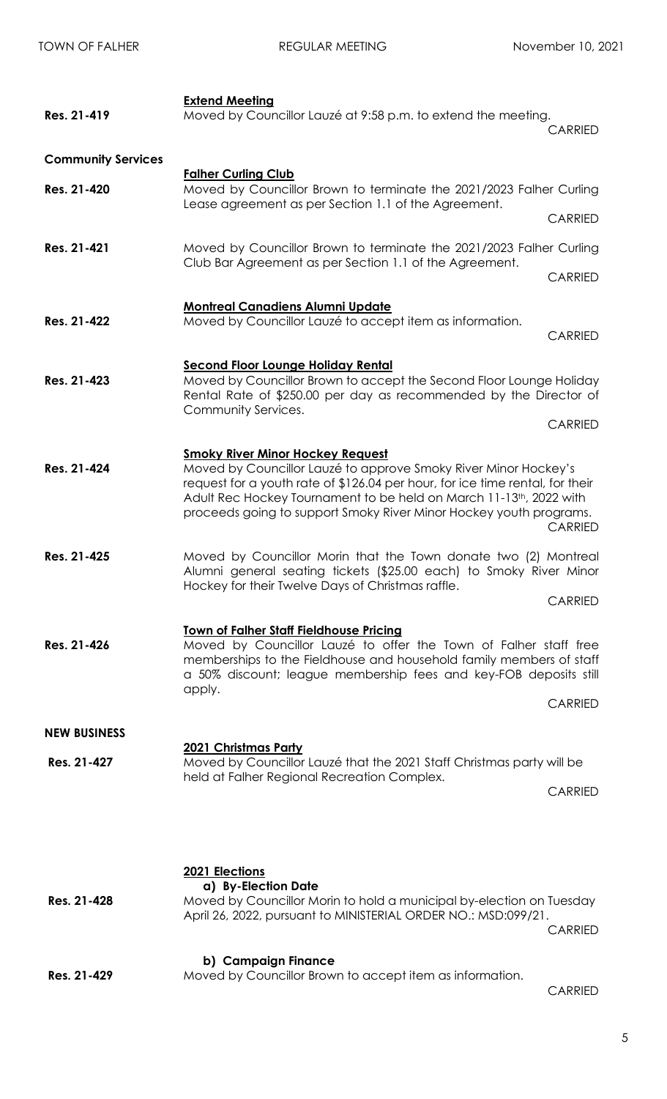| Res. 21-419               | <b>Extend Meeting</b><br>Moved by Councillor Lauzé at 9:58 p.m. to extend the meeting.                                                                                                                                                                                                                                                  | <b>CARRIED</b> |
|---------------------------|-----------------------------------------------------------------------------------------------------------------------------------------------------------------------------------------------------------------------------------------------------------------------------------------------------------------------------------------|----------------|
| <b>Community Services</b> |                                                                                                                                                                                                                                                                                                                                         |                |
| Res. 21-420               | <b>Falher Curling Club</b><br>Moved by Councillor Brown to terminate the 2021/2023 Falher Curling<br>Lease agreement as per Section 1.1 of the Agreement.                                                                                                                                                                               | <b>CARRIED</b> |
|                           |                                                                                                                                                                                                                                                                                                                                         |                |
| Res. 21-421               | Moved by Councillor Brown to terminate the 2021/2023 Falher Curling<br>Club Bar Agreement as per Section 1.1 of the Agreement.                                                                                                                                                                                                          |                |
|                           |                                                                                                                                                                                                                                                                                                                                         | <b>CARRIED</b> |
| Res. 21-422               | <b>Montreal Canadiens Alumni Update</b><br>Moved by Councillor Lauzé to accept item as information.                                                                                                                                                                                                                                     |                |
|                           |                                                                                                                                                                                                                                                                                                                                         | <b>CARRIED</b> |
| Res. 21-423               | <b>Second Floor Lounge Holiday Rental</b><br>Moved by Councillor Brown to accept the Second Floor Lounge Holiday<br>Rental Rate of \$250.00 per day as recommended by the Director of<br>Community Services.                                                                                                                            |                |
|                           |                                                                                                                                                                                                                                                                                                                                         | <b>CARRIED</b> |
| Res. 21-424               | <b>Smoky River Minor Hockey Request</b><br>Moved by Councillor Lauzé to approve Smoky River Minor Hockey's<br>request for a youth rate of \$126.04 per hour, for ice time rental, for their<br>Adult Rec Hockey Tournament to be held on March 11-13th, 2022 with<br>proceeds going to support Smoky River Minor Hockey youth programs. | <b>CARRIED</b> |
| Res. 21-425               | Moved by Councillor Morin that the Town donate two (2) Montreal<br>Alumni general seating tickets (\$25.00 each) to Smoky River Minor<br>Hockey for their Twelve Days of Christmas raffle.                                                                                                                                              |                |
|                           |                                                                                                                                                                                                                                                                                                                                         | <b>CARRIED</b> |
| Res. 21-426               | <b>Town of Falher Staff Fieldhouse Pricing</b><br>Moved by Councillor Lauzé to offer the Town of Falher staff free<br>memberships to the Fieldhouse and household family members of staff<br>a 50% discount; league membership fees and key-FOB deposits still<br>apply.                                                                |                |
|                           |                                                                                                                                                                                                                                                                                                                                         | <b>CARRIED</b> |
| <b>NEW BUSINESS</b>       | <u>2021 Christmas Party</u>                                                                                                                                                                                                                                                                                                             |                |
| Res. 21-427               | Moved by Councillor Lauzé that the 2021 Staff Christmas party will be                                                                                                                                                                                                                                                                   |                |
|                           | held at Falher Regional Recreation Complex.                                                                                                                                                                                                                                                                                             | <b>CARRIED</b> |
| Res. 21-428               | 2021 Elections<br>a) By-Election Date<br>Moved by Councillor Morin to hold a municipal by-election on Tuesday<br>April 26, 2022, pursuant to MINISTERIAL ORDER NO.: MSD:099/21.                                                                                                                                                         | <b>CARRIED</b> |
| Res. 21-429               | b) Campaign Finance<br>Moved by Councillor Brown to accept item as information.                                                                                                                                                                                                                                                         |                |

CARRIED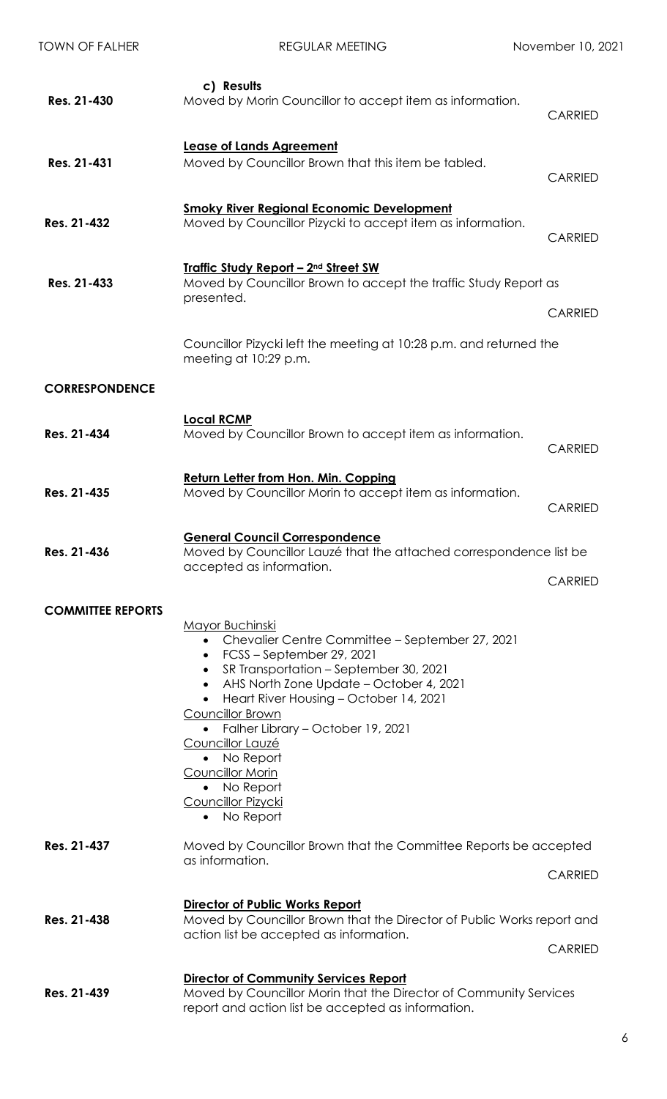| <b>TOWN OF FALHER</b>    | <b>REGULAR MEETING</b>                                                                                                                                                                                                                                                                                                                                                                                                                                                    | November 10, 2021 |
|--------------------------|---------------------------------------------------------------------------------------------------------------------------------------------------------------------------------------------------------------------------------------------------------------------------------------------------------------------------------------------------------------------------------------------------------------------------------------------------------------------------|-------------------|
| Res. 21-430              | c) Results<br>Moved by Morin Councillor to accept item as information.                                                                                                                                                                                                                                                                                                                                                                                                    | <b>CARRIED</b>    |
| Res. 21-431              | <b>Lease of Lands Agreement</b><br>Moved by Councillor Brown that this item be tabled.                                                                                                                                                                                                                                                                                                                                                                                    | <b>CARRIED</b>    |
| Res. 21-432              | <b>Smoky River Regional Economic Development</b><br>Moved by Councillor Pizycki to accept item as information.                                                                                                                                                                                                                                                                                                                                                            | <b>CARRIED</b>    |
| Res. 21-433              | <u><b>Traffic Study Report - 2nd Street SW</b></u><br>Moved by Councillor Brown to accept the traffic Study Report as<br>presented.                                                                                                                                                                                                                                                                                                                                       | <b>CARRIED</b>    |
|                          | Councillor Pizycki left the meeting at 10:28 p.m. and returned the<br>meeting at 10:29 p.m.                                                                                                                                                                                                                                                                                                                                                                               |                   |
| <b>CORRESPONDENCE</b>    |                                                                                                                                                                                                                                                                                                                                                                                                                                                                           |                   |
| Res. 21-434              | <b>Local RCMP</b><br>Moved by Councillor Brown to accept item as information.                                                                                                                                                                                                                                                                                                                                                                                             | <b>CARRIED</b>    |
| Res. 21-435              | <b>Return Letter from Hon. Min. Copping</b><br>Moved by Councillor Morin to accept item as information.                                                                                                                                                                                                                                                                                                                                                                   | <b>CARRIED</b>    |
| Res. 21-436              | <b>General Council Correspondence</b><br>Moved by Councillor Lauzé that the attached correspondence list be<br>accepted as information.                                                                                                                                                                                                                                                                                                                                   | <b>CARRIED</b>    |
| <b>COMMITTEE REPORTS</b> | <b>Mayor Buchinski</b><br>Chevalier Centre Committee - September 27, 2021<br>FCSS-September 29, 2021<br>$\bullet$<br>SR Transportation - September 30, 2021<br>AHS North Zone Update - October 4, 2021<br>$\bullet$<br>Heart River Housing - October 14, 2021<br>$\bullet$<br><b>Councillor Brown</b><br>• Falher Library - October 19, 2021<br>Councillor Lauzé<br>No Report<br>$\bullet$<br>Councillor Morin<br>• No Report<br><b>Councillor Pizycki</b><br>• No Report |                   |
| Res. 21-437              | Moved by Councillor Brown that the Committee Reports be accepted<br>as information.                                                                                                                                                                                                                                                                                                                                                                                       | <b>CARRIED</b>    |
| Res. 21-438              | <b>Director of Public Works Report</b><br>Moved by Councillor Brown that the Director of Public Works report and<br>action list be accepted as information.                                                                                                                                                                                                                                                                                                               | <b>CARRIED</b>    |
| Res. 21-439              | <b>Director of Community Services Report</b><br>Moved by Councillor Morin that the Director of Community Services<br>report and action list be accepted as information.                                                                                                                                                                                                                                                                                                   |                   |